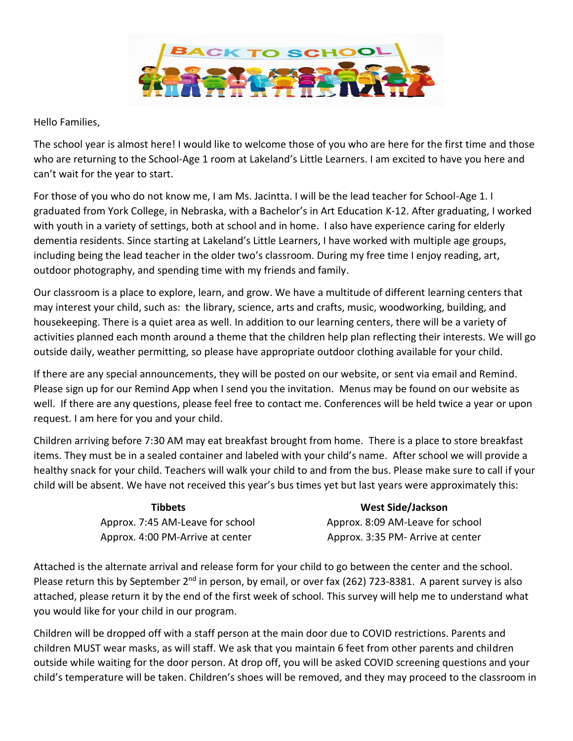

## Hello Families,

The school year is almost here! I would like to welcome those of you who are here for the first time and those who are returning to the School-Age 1 room at Lakeland's Little Learners. I am excited to have you here and can't wait for the year to start.

For those of you who do not know me, I am Ms. Jacintta. I will be the lead teacher for School-Age 1. I graduated from York College, in Nebraska, with a Bachelor's in Art Education K-12. After graduating, I worked with youth in a variety of settings, both at school and in home. I also have experience caring for elderly dementia residents. Since starting at Lakeland's Little Learners, I have worked with multiple age groups, including being the lead teacher in the older two's classroom. During my free time I enjoy reading, art, outdoor photography, and spending time with my friends and family.

Our classroom is a place to explore, learn, and grow. We have a multitude of different learning centers that may interest your child, such as: the library, science, arts and crafts, music, woodworking, building, and housekeeping. There is a quiet area as well. In addition to our learning centers, there will be a variety of activities planned each month around a theme that the children help plan reflecting their interests. We will go outside daily, weather permitting, so please have appropriate outdoor clothing available for your child.

If there are any special announcements, they will be posted on our website, or sent via email and Remind. Please sign up for our Remind App when I send you the invitation. Menus may be found on our website as well. If there are any questions, please feel free to contact me. Conferences will be held twice a year or upon request. I am here for you and your child.

Children arriving before 7:30 AM may eat breakfast brought from home. There is a place to store breakfast items. They must be in a sealed container and labeled with your child's name. After school we will provide a healthy snack for your child. Teachers will walk your child to and from the bus. Please make sure to call if your child will be absent. We have not received this year's bus times yet but last years were approximately this:

| Tibbets                          | <b>West Side/Jackson</b>          |
|----------------------------------|-----------------------------------|
| Approx. 7:45 AM-Leave for school | Approx. 8:09 AM-Leave for school  |
| Approx. 4:00 PM-Arrive at center | Approx. 3:35 PM- Arrive at center |

Attached is the alternate arrival and release form for your child to go between the center and the school. Please return this by September 2<sup>nd</sup> in person, by email, or over fax (262) 723-8381. A parent survey is also attached, please return it by the end of the first week of school. This survey will help me to understand what you would like for your child in our program.

Children will be dropped off with a staff person at the main door due to COVID restrictions. Parents and children MUST wear masks, as will staff. We ask that you maintain 6 feet from other parents and children outside while waiting for the door person. At drop off, you will be asked COVID screening questions and your child's temperature will be taken. Children's shoes will be removed, and they may proceed to the classroom in